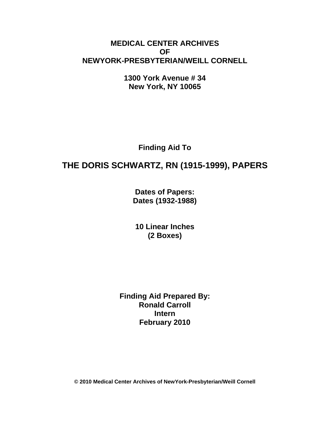# **MEDICAL CENTER ARCHIVES OF NEWYORK-PRESBYTERIAN/WEILL CORNELL**

**1300 York Avenue # 34 New York, NY 10065** 

**Finding Aid To** 

# **THE DORIS SCHWARTZ, RN (1915-1999), PAPERS**

**Dates of Papers: Dates (1932-1988)**

**10 Linear Inches (2 Boxes)** 

**Finding Aid Prepared By: Ronald Carroll Intern February 2010** 

**© 2010 Medical Center Archives of NewYork-Presbyterian/Weill Cornell**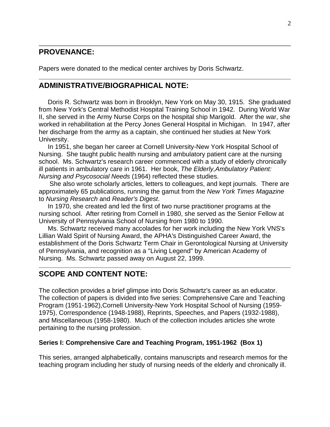### **PROVENANCE:**

Papers were donated to the medical center archives by Doris Schwartz.

### **ADMINISTRATIVE/BIOGRAPHICAL NOTE:**

 Doris R. Schwartz was born in Brooklyn, New York on May 30, 1915. She graduated from New York's Central Methodist Hospital Training School in 1942. During World War II, she served in the Army Nurse Corps on the hospital ship Marigold. After the war, she worked in rehabilitation at the Percy Jones General Hospital in Michigan. In 1947, after her discharge from the army as a captain, she continued her studies at New York University.

 In 1951, she began her career at Cornell University-New York Hospital School of Nursing. She taught public health nursing and ambulatory patient care at the nursing school. Ms. Schwartz's research career commenced with a study of elderly chronically ill patients in ambulatory care in 1961. Her book, *The Elderly,Ambulatory Patient: Nursing and Psycosocial Needs* (1964) reflected these studies.

 She also wrote scholarly articles, letters to colleagues, and kept journals. There are approximately 65 publications, running the gamut from the *New York Times Magazine* to *Nursing Research* and *Reader's Digest*.

 In 1970, she created and led the first of two nurse practitioner programs at the nursing school. After retiring from Cornell in 1980, she served as the Senior Fellow at University of Pennsylvania School of Nursing from 1980 to 1990.

 Ms. Schwartz received many accolades for her work including the New York VNS's Lillian Wald Spirit of Nursing Award, the APHA's Distinguished Career Award, the establishment of the Doris Schwartz Term Chair in Gerontological Nursing at University of Pennsylvania, and recognition as a "Living Legend" by American Academy of Nursing. Ms. Schwartz passed away on August 22, 1999.

### **SCOPE AND CONTENT NOTE:**

The collection provides a brief glimpse into Doris Schwartz's career as an educator. The collection of papers is divided into five series: Comprehensive Care and Teaching Program (1951-1962),Cornell University-New York Hospital School of Nursing (1959- 1975), Correspondence (1948-1988), Reprints, Speeches, and Papers (1932-1988), and Miscellaneous (1958-1980). Much of the collection includes articles she wrote pertaining to the nursing profession.

#### **Series I: Comprehensive Care and Teaching Program, 1951-1962 (Box 1)**

This series, arranged alphabetically, contains manuscripts and research memos for the teaching program including her study of nursing needs of the elderly and chronically ill.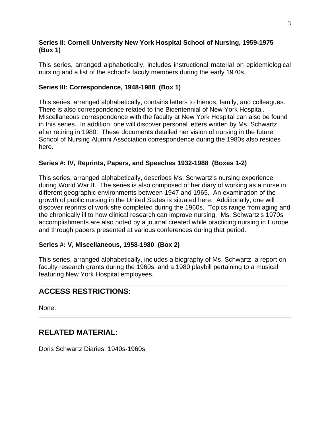### **Series II: Cornell University New York Hospital School of Nursing, 1959-1975 (Box 1)**

This series, arranged alphabetically, includes instructional material on epidemiological nursing and a list of the school's faculy members during the early 1970s.

### **Series III: Correspondence, 1948-1988 (Box 1)**

This series, arranged alphabetically, contains letters to friends, family, and colleagues. There is also correspondence related to the Bicentennial of New York Hospital. Miscellaneous correspondence with the faculty at New York Hospital can also be found in this series. In addition, one will discover personal letters written by Ms. Schwartz after retiring in 1980. These documents detailed her vision of nursing in the future. School of Nursing Alumni Association correspondence during the 1980s also resides here.

### **Series #: IV, Reprints, Papers, and Speeches 1932-1988 (Boxes 1-2)**

This series, arranged alphabetically, describes Ms. Schwartz's nursing experience during World War II. The series is also composed of her diary of working as a nurse in different geographic environments between 1947 and 1965. An examination of the growth of public nursing in the United States is situated here. Additionally, one will discover reprints of work she completed during the 1960s. Topics range from aging and the chronically ill to how clinical research can improve nursing. Ms. Schwartz's 1970s accomplishments are also noted by a journal created while practicing nursing in Europe and through papers presented at various conferences during that period.

### **Series #: V, Miscellaneous, 1958-1980 (Box 2)**

This series, arranged alphabetically, includes a biography of Ms. Schwartz, a report on faculty research grants during the 1960s, and a 1980 playbill pertaining to a musical featuring New York Hospital employees.

# **ACCESS RESTRICTIONS:**

None.

### **RELATED MATERIAL:**

Doris Schwartz Diaries, 1940s-1960s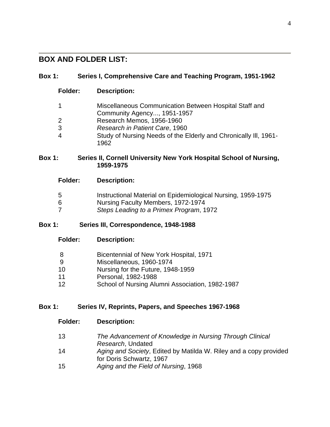# **BOX AND FOLDER LIST:**

| <b>Box 1:</b>  | Series I, Comprehensive Care and Teaching Program, 1951-1962                          |
|----------------|---------------------------------------------------------------------------------------|
| <b>Folder:</b> | <b>Description:</b>                                                                   |
| 1              | Miscellaneous Communication Between Hospital Staff and<br>Community Agency, 1951-1957 |
| 2              | Research Memos, 1956-1960                                                             |
| 3              | Research in Patient Care, 1960                                                        |
| 4              | Study of Nursing Needs of the Elderly and Chronically III, 1961-<br>1962              |

#### **Box 1: Series II, Cornell University New York Hospital School of Nursing, 1959-1975**

|  | <b>Folder:</b> | <b>Description:</b> |
|--|----------------|---------------------|
|--|----------------|---------------------|

- 5 Instructional Material on Epidemiological Nursing, 1959-1975
- 6 Nursing Faculty Members, 1972-1974
- 7 *Steps Leading to a Primex Program*, 1972

### **Box 1: Series III, Correspondence, 1948-1988**

**Folder: Description:**

|  |  | Bicentennial of New York Hospital, 1971 |
|--|--|-----------------------------------------|
|  |  |                                         |

- 9 Miscellaneous, 1960-1974
- 10 Nursing for the Future, 1948-1959
- 11 Personal, 1982-1988
- 12 School of Nursing Alumni Association, 1982-1987

### **Box 1: Series IV, Reprints, Papers, and Speeches 1967-1968**

- **Folder: Description:**
- 13 *The Advancement of Knowledge in Nursing Through Clinical Research*, Undated
- 14 *Aging and Society*, Edited by Matilda W. Riley and a copy provided for Doris Schwartz, 1967
- 15 *Aging and the Field of Nursing*, 1968